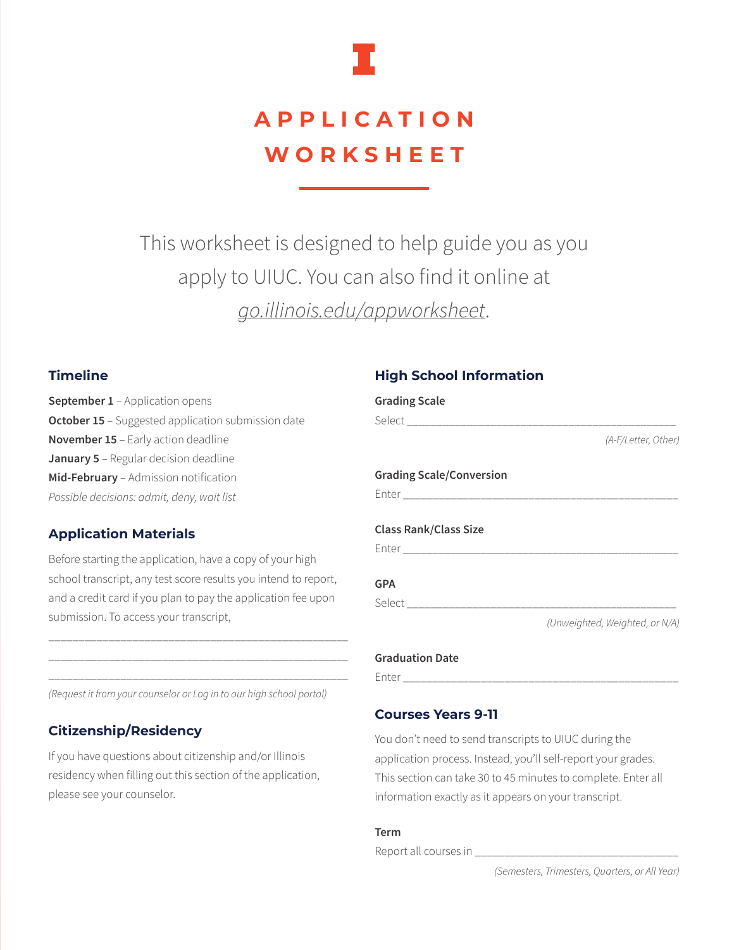

# **APPLICATION WORKSHEET**

This worksheet is designed to help guide you as you apply to UIUC. You can also find it online at *go.illinois.edu/appworksheet*.

## **Timeline**

**September 1** – Application opens **October 15** – Suggested application submission date **November 15** – Early action deadline **January 5** – Regular decision deadline **Mid-February** – Admission notification *Possible decisions: admit, deny, wait list*

## **Application Materials**

Before starting the application, have a copy of your high school transcript, any test score results you intend to report, and a credit card if you plan to pay the application fee upon submission. To access your transcript,

\_\_\_\_\_\_\_\_\_\_\_\_\_\_\_\_\_\_\_\_\_\_\_\_\_\_\_\_\_\_\_\_\_\_\_\_\_\_\_\_\_\_\_\_\_\_\_\_\_\_ \_\_\_\_\_\_\_\_\_\_\_\_\_\_\_\_\_\_\_\_\_\_\_\_\_\_\_\_\_\_\_\_\_\_\_\_\_\_\_\_\_\_\_\_\_\_\_\_\_\_ \_\_\_\_\_\_\_\_\_\_\_\_\_\_\_\_\_\_\_\_\_\_\_\_\_\_\_\_\_\_\_\_\_\_\_\_\_\_\_\_\_\_\_\_\_\_\_\_\_\_

*(Request it from your counselor or Log in to our high school portal)*

## **Citizenship/Residency**

If you have questions about citizenship and/or Illinois residency when filling out this section of the application, please see your counselor.

## **High School Information**

| (A-F/Letter, Other)            |
|--------------------------------|
|                                |
|                                |
|                                |
|                                |
|                                |
|                                |
|                                |
|                                |
| (Unweighted, Weighted, or N/A) |
|                                |
|                                |
|                                |

## **Courses Years 9-11**

You don't need to send transcripts to UIUC during the application process. Instead, you'll self-report your grades. This section can take 30 to 45 minutes to complete. Enter all information exactly as it appears on your transcript.

#### **Term**

Report all courses in \_\_\_\_\_\_\_\_\_\_\_\_\_\_\_\_\_\_\_\_\_\_\_\_\_\_\_\_\_\_\_\_\_\_

*(Semesters, Trimesters, Quarters, or All Year)*